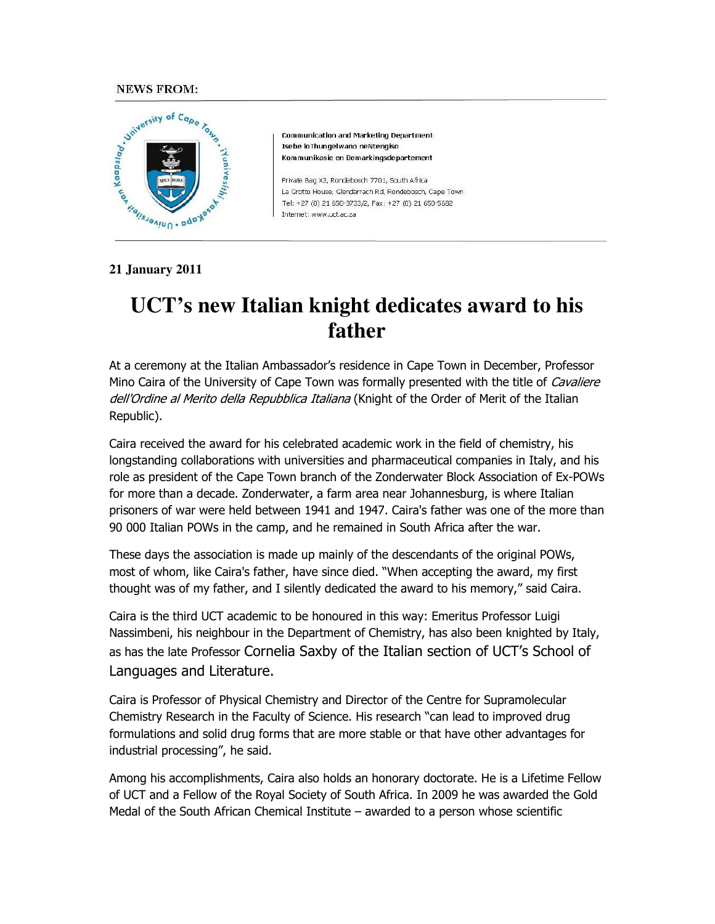## **NEWS FROM:**



**Communication and Marketing Department** Isebe loThungelwano neNtengiso Kommunikasie en Bemarkingsdepartement

Private Bag X3, Rondebosch 7701, South Africa La Grotto House, Glendarrach Rd, Rondebosch, Cape Town Tel: +27 (0) 21 650-3733/2, Fax: +27 (0) 21 650-5682 Internet: www.uct.ac.za

**21 January 2011** 

## **UCT's new Italian knight dedicates award to his father**

At a ceremony at the Italian Ambassador's residence in Cape Town in December, Professor Mino Caira of the University of Cape Town was formally presented with the title of *Cavaliere* dell'Ordine al Merito della Repubblica Italiana (Knight of the Order of Merit of the Italian Republic).

Caira received the award for his celebrated academic work in the field of chemistry, his longstanding collaborations with universities and pharmaceutical companies in Italy, and his role as president of the Cape Town branch of the Zonderwater Block Association of Ex-POWs for more than a decade. Zonderwater, a farm area near Johannesburg, is where Italian prisoners of war were held between 1941 and 1947. Caira's father was one of the more than 90 000 Italian POWs in the camp, and he remained in South Africa after the war.

These days the association is made up mainly of the descendants of the original POWs, most of whom, like Caira's father, have since died. "When accepting the award, my first thought was of my father, and I silently dedicated the award to his memory," said Caira.

Caira is the third UCT academic to be honoured in this way: Emeritus Professor Luigi Nassimbeni, his neighbour in the Department of Chemistry, has also been knighted by Italy, as has the late Professor Cornelia Saxby of the Italian section of UCT's School of Languages and Literature.

Caira is Professor of Physical Chemistry and Director of the Centre for Supramolecular Chemistry Research in the Faculty of Science. His research "can lead to improved drug formulations and solid drug forms that are more stable or that have other advantages for industrial processing", he said.

Among his accomplishments, Caira also holds an honorary doctorate. He is a Lifetime Fellow of UCT and a Fellow of the Royal Society of South Africa. In 2009 he was awarded the Gold Medal of the South African Chemical Institute – awarded to a person whose scientific